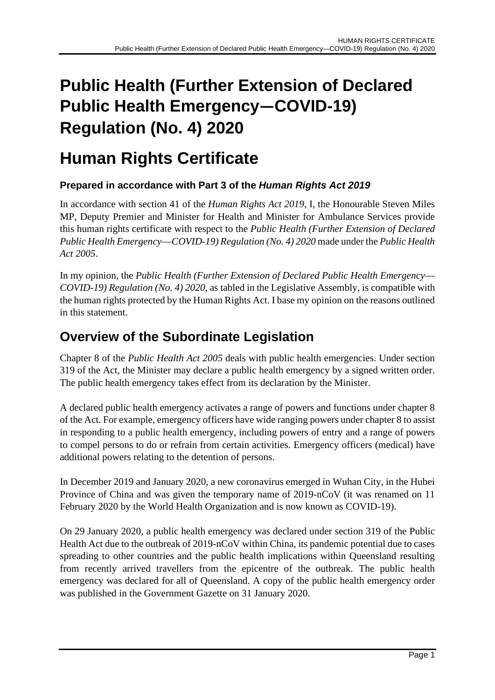# **Public Health (Further Extension of Declared Public Health Emergency—COVID-19) Regulation (No. 4) 2020**

# **Human Rights Certificate**

# **Prepared in accordance with Part 3 of the** *Human Rights Act 2019*

In accordance with section 41 of the *Human Rights Act 2019*, I, the Honourable Steven Miles MP, Deputy Premier and Minister for Health and Minister for Ambulance Services provide this human rights certificate with respect to the *Public Health (Further Extension of Declared Public Health Emergency*—*COVID-19) Regulation (No. 4) 2020* made under the *Public Health Act 2005*.

In my opinion, the *Public Health (Further Extension of Declared Public Health Emergency*— *COVID-19) Regulation (No. 4) 2020*, as tabled in the Legislative Assembly, is compatible with the human rights protected by the Human Rights Act. I base my opinion on the reasons outlined in this statement.

# **Overview of the Subordinate Legislation**

Chapter 8 of the *Public Health Act 2005* deals with public health emergencies. Under section 319 of the Act, the Minister may declare a public health emergency by a signed written order. The public health emergency takes effect from its declaration by the Minister.

A declared public health emergency activates a range of powers and functions under chapter 8 of the Act. For example, emergency officers have wide ranging powers under chapter 8 to assist in responding to a public health emergency, including powers of entry and a range of powers to compel persons to do or refrain from certain activities. Emergency officers (medical) have additional powers relating to the detention of persons.

In December 2019 and January 2020, a new coronavirus emerged in Wuhan City, in the Hubei Province of China and was given the temporary name of 2019-nCoV (it was renamed on 11 February 2020 by the World Health Organization and is now known as COVID-19).

On 29 January 2020, a public health emergency was declared under section 319 of the Public Health Act due to the outbreak of 2019-nCoV within China, its pandemic potential due to cases spreading to other countries and the public health implications within Queensland resulting from recently arrived travellers from the epicentre of the outbreak. The public health emergency was declared for all of Queensland. A copy of the public health emergency order was published in the Government Gazette on 31 January 2020.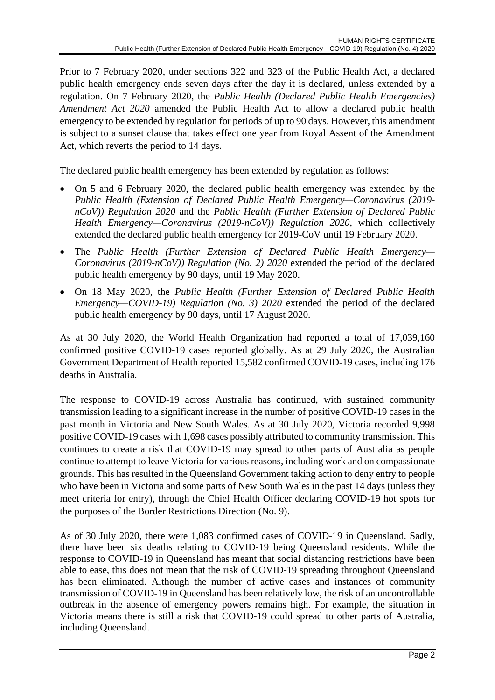Prior to 7 February 2020, under sections 322 and 323 of the Public Health Act, a declared public health emergency ends seven days after the day it is declared, unless extended by a regulation. On 7 February 2020, the *Public Health (Declared Public Health Emergencies) Amendment Act 2020* amended the Public Health Act to allow a declared public health emergency to be extended by regulation for periods of up to 90 days. However, this amendment is subject to a sunset clause that takes effect one year from Royal Assent of the Amendment Act, which reverts the period to 14 days.

The declared public health emergency has been extended by regulation as follows:

- On 5 and 6 February 2020, the declared public health emergency was extended by the *Public Health (Extension of Declared Public Health Emergency—Coronavirus (2019 nCoV)) Regulation 2020* and the *Public Health (Further Extension of Declared Public Health Emergency—Coronavirus (2019-nCoV)) Regulation 2020*, which collectively extended the declared public health emergency for 2019-CoV until 19 February 2020.
- The *Public Health (Further Extension of Declared Public Health Emergency— Coronavirus (2019-nCoV)) Regulation (No. 2) 2020* extended the period of the declared public health emergency by 90 days, until 19 May 2020.
- On 18 May 2020, the *Public Health (Further Extension of Declared Public Health Emergency—COVID-19) Regulation (No. 3) 2020* extended the period of the declared public health emergency by 90 days, until 17 August 2020.

As at 30 July 2020, the World Health Organization had reported a total of 17,039,160 confirmed positive COVID-19 cases reported globally. As at 29 July 2020, the Australian Government Department of Health reported 15,582 confirmed COVID-19 cases, including 176 deaths in Australia.

The response to COVID-19 across Australia has continued, with sustained community transmission leading to a significant increase in the number of positive COVID-19 cases in the past month in Victoria and New South Wales. As at 30 July 2020, Victoria recorded 9,998 positive COVID-19 cases with 1,698 cases possibly attributed to community transmission. This continues to create a risk that COVID-19 may spread to other parts of Australia as people continue to attempt to leave Victoria for various reasons, including work and on compassionate grounds. This has resulted in the Queensland Government taking action to deny entry to people who have been in Victoria and some parts of New South Wales in the past 14 days (unless they meet criteria for entry), through the Chief Health Officer declaring COVID-19 hot spots for the purposes of the Border Restrictions Direction (No. 9).

As of 30 July 2020, there were 1,083 confirmed cases of COVID-19 in Queensland. Sadly, there have been six deaths relating to COVID-19 being Queensland residents. While the response to COVID-19 in Queensland has meant that social distancing restrictions have been able to ease, this does not mean that the risk of COVID-19 spreading throughout Queensland has been eliminated. Although the number of active cases and instances of community transmission of COVID-19 in Queensland has been relatively low, the risk of an uncontrollable outbreak in the absence of emergency powers remains high. For example, the situation in Victoria means there is still a risk that COVID-19 could spread to other parts of Australia, including Queensland.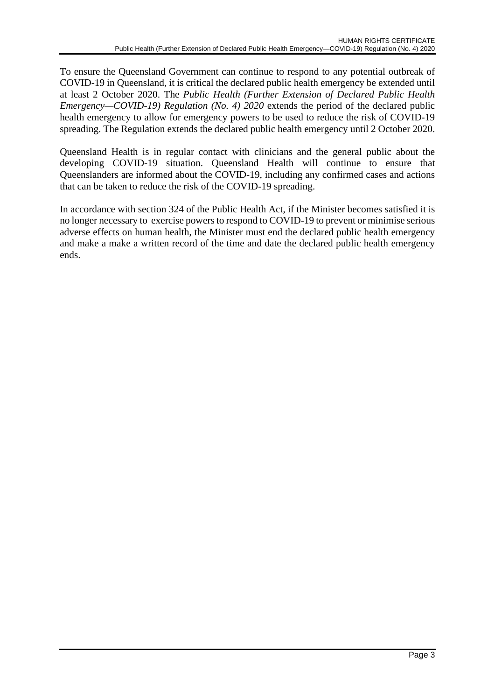To ensure the Queensland Government can continue to respond to any potential outbreak of COVID-19 in Queensland, it is critical the declared public health emergency be extended until at least 2 October 2020. The *Public Health (Further Extension of Declared Public Health Emergency—COVID-19) Regulation (No. 4) 2020* extends the period of the declared public health emergency to allow for emergency powers to be used to reduce the risk of COVID-19 spreading. The Regulation extends the declared public health emergency until 2 October 2020.

Queensland Health is in regular contact with clinicians and the general public about the developing COVID-19 situation. Queensland Health will continue to ensure that Queenslanders are informed about the COVID-19, including any confirmed cases and actions that can be taken to reduce the risk of the COVID-19 spreading.

In accordance with section 324 of the Public Health Act, if the Minister becomes satisfied it is no longer necessary to exercise powers to respond to COVID-19 to prevent or minimise serious adverse effects on human health, the Minister must end the declared public health emergency and make a make a written record of the time and date the declared public health emergency ends.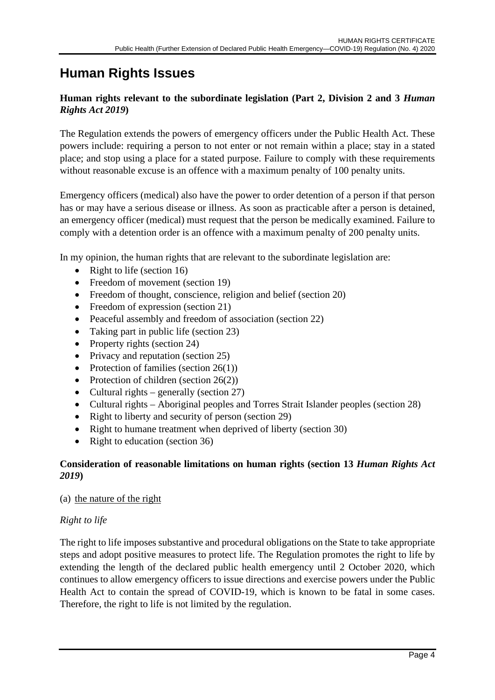# **Human Rights Issues**

# **Human rights relevant to the subordinate legislation (Part 2, Division 2 and 3** *Human Rights Act 2019***)**

The Regulation extends the powers of emergency officers under the Public Health Act. These powers include: requiring a person to not enter or not remain within a place; stay in a stated place; and stop using a place for a stated purpose. Failure to comply with these requirements without reasonable excuse is an offence with a maximum penalty of 100 penalty units.

Emergency officers (medical) also have the power to order detention of a person if that person has or may have a serious disease or illness. As soon as practicable after a person is detained, an emergency officer (medical) must request that the person be medically examined. Failure to comply with a detention order is an offence with a maximum penalty of 200 penalty units.

In my opinion, the human rights that are relevant to the subordinate legislation are:

- Right to life (section 16)
- Freedom of movement (section 19)
- Freedom of thought, conscience, religion and belief (section 20)
- Freedom of expression (section 21)
- Peaceful assembly and freedom of association (section 22)
- Taking part in public life (section 23)
- Property rights (section 24)
- Privacy and reputation (section 25)
- Protection of families (section  $26(1)$ )
- Protection of children (section  $26(2)$ )
- Cultural rights generally (section 27)
- Cultural rights Aboriginal peoples and Torres Strait Islander peoples (section 28)
- Right to liberty and security of person (section 29)
- Right to humane treatment when deprived of liberty (section 30)
- Right to education (section 36)

### **Consideration of reasonable limitations on human rights (section 13** *Human Rights Act 2019***)**

### (a) the nature of the right

### *Right to life*

The right to life imposes substantive and procedural obligations on the State to take appropriate steps and adopt positive measures to protect life. The Regulation promotes the right to life by extending the length of the declared public health emergency until 2 October 2020, which continues to allow emergency officers to issue directions and exercise powers under the Public Health Act to contain the spread of COVID-19, which is known to be fatal in some cases. Therefore, the right to life is not limited by the regulation.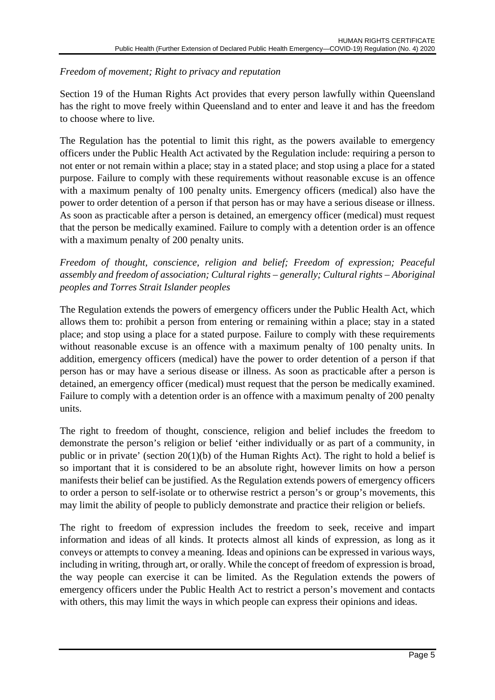# *Freedom of movement; Right to privacy and reputation*

Section 19 of the Human Rights Act provides that every person lawfully within Queensland has the right to move freely within Queensland and to enter and leave it and has the freedom to choose where to live.

The Regulation has the potential to limit this right, as the powers available to emergency officers under the Public Health Act activated by the Regulation include: requiring a person to not enter or not remain within a place; stay in a stated place; and stop using a place for a stated purpose. Failure to comply with these requirements without reasonable excuse is an offence with a maximum penalty of 100 penalty units. Emergency officers (medical) also have the power to order detention of a person if that person has or may have a serious disease or illness. As soon as practicable after a person is detained, an emergency officer (medical) must request that the person be medically examined. Failure to comply with a detention order is an offence with a maximum penalty of 200 penalty units.

# *Freedom of thought, conscience, religion and belief; Freedom of expression; Peaceful assembly and freedom of association; Cultural rights – generally; Cultural rights – Aboriginal peoples and Torres Strait Islander peoples*

The Regulation extends the powers of emergency officers under the Public Health Act, which allows them to: prohibit a person from entering or remaining within a place; stay in a stated place; and stop using a place for a stated purpose. Failure to comply with these requirements without reasonable excuse is an offence with a maximum penalty of 100 penalty units. In addition, emergency officers (medical) have the power to order detention of a person if that person has or may have a serious disease or illness. As soon as practicable after a person is detained, an emergency officer (medical) must request that the person be medically examined. Failure to comply with a detention order is an offence with a maximum penalty of 200 penalty units.

The right to freedom of thought, conscience, religion and belief includes the freedom to demonstrate the person's religion or belief 'either individually or as part of a community, in public or in private' (section 20(1)(b) of the Human Rights Act). The right to hold a belief is so important that it is considered to be an absolute right, however limits on how a person manifests their belief can be justified. As the Regulation extends powers of emergency officers to order a person to self-isolate or to otherwise restrict a person's or group's movements, this may limit the ability of people to publicly demonstrate and practice their religion or beliefs.

The right to freedom of expression includes the freedom to seek, receive and impart information and ideas of all kinds. It protects almost all kinds of expression, as long as it conveys or attempts to convey a meaning. Ideas and opinions can be expressed in various ways, including in writing, through art, or orally. While the concept of freedom of expression is broad, the way people can exercise it can be limited. As the Regulation extends the powers of emergency officers under the Public Health Act to restrict a person's movement and contacts with others, this may limit the ways in which people can express their opinions and ideas.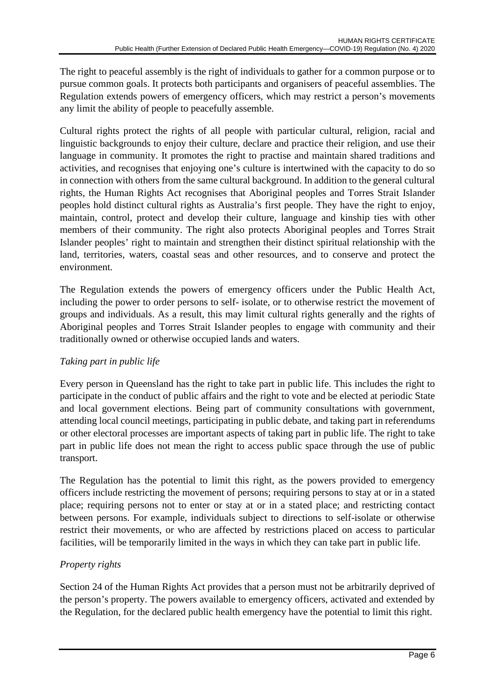The right to peaceful assembly is the right of individuals to gather for a common purpose or to pursue common goals. It protects both participants and organisers of peaceful assemblies. The Regulation extends powers of emergency officers, which may restrict a person's movements any limit the ability of people to peacefully assemble.

Cultural rights protect the rights of all people with particular cultural, religion, racial and linguistic backgrounds to enjoy their culture, declare and practice their religion, and use their language in community. It promotes the right to practise and maintain shared traditions and activities, and recognises that enjoying one's culture is intertwined with the capacity to do so in connection with others from the same cultural background. In addition to the general cultural rights, the Human Rights Act recognises that Aboriginal peoples and Torres Strait Islander peoples hold distinct cultural rights as Australia's first people. They have the right to enjoy, maintain, control, protect and develop their culture, language and kinship ties with other members of their community. The right also protects Aboriginal peoples and Torres Strait Islander peoples' right to maintain and strengthen their distinct spiritual relationship with the land, territories, waters, coastal seas and other resources, and to conserve and protect the environment.

The Regulation extends the powers of emergency officers under the Public Health Act, including the power to order persons to self- isolate, or to otherwise restrict the movement of groups and individuals. As a result, this may limit cultural rights generally and the rights of Aboriginal peoples and Torres Strait Islander peoples to engage with community and their traditionally owned or otherwise occupied lands and waters.

# *Taking part in public life*

Every person in Queensland has the right to take part in public life. This includes the right to participate in the conduct of public affairs and the right to vote and be elected at periodic State and local government elections. Being part of community consultations with government, attending local council meetings, participating in public debate, and taking part in referendums or other electoral processes are important aspects of taking part in public life. The right to take part in public life does not mean the right to access public space through the use of public transport.

The Regulation has the potential to limit this right, as the powers provided to emergency officers include restricting the movement of persons; requiring persons to stay at or in a stated place; requiring persons not to enter or stay at or in a stated place; and restricting contact between persons. For example, individuals subject to directions to self-isolate or otherwise restrict their movements, or who are affected by restrictions placed on access to particular facilities, will be temporarily limited in the ways in which they can take part in public life.

# *Property rights*

Section 24 of the Human Rights Act provides that a person must not be arbitrarily deprived of the person's property. The powers available to emergency officers, activated and extended by the Regulation, for the declared public health emergency have the potential to limit this right.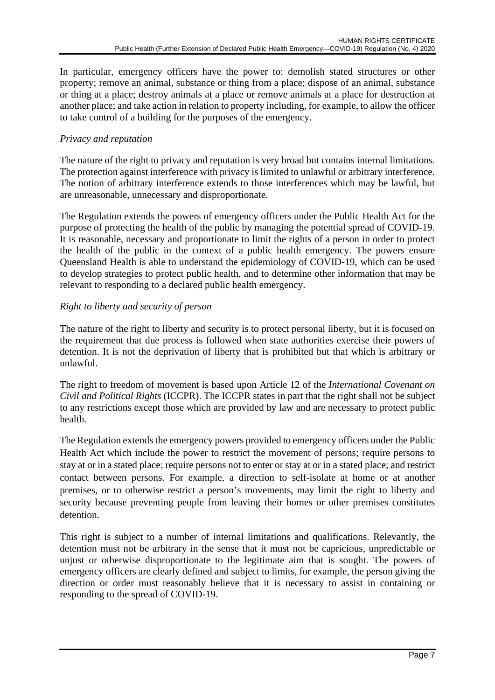In particular, emergency officers have the power to: demolish stated structures or other property; remove an animal, substance or thing from a place; dispose of an animal, substance or thing at a place; destroy animals at a place or remove animals at a place for destruction at another place; and take action in relation to property including, for example, to allow the officer to take control of a building for the purposes of the emergency.

# *Privacy and reputation*

The nature of the right to privacy and reputation is very broad but contains internal limitations. The protection against interference with privacy is limited to unlawful or arbitrary interference. The notion of arbitrary interference extends to those interferences which may be lawful, but are unreasonable, unnecessary and disproportionate.

The Regulation extends the powers of emergency officers under the Public Health Act for the purpose of protecting the health of the public by managing the potential spread of COVID-19. It is reasonable, necessary and proportionate to limit the rights of a person in order to protect the health of the public in the context of a public health emergency. The powers ensure Queensland Health is able to understand the epidemiology of COVID-19, which can be used to develop strategies to protect public health, and to determine other information that may be relevant to responding to a declared public health emergency.

### *Right to liberty and security of person*

The nature of the right to liberty and security is to protect personal liberty, but it is focused on the requirement that due process is followed when state authorities exercise their powers of detention. It is not the deprivation of liberty that is prohibited but that which is arbitrary or unlawful.

The right to freedom of movement is based upon Article 12 of the *International Covenant on Civil and Political Rights* (ICCPR). The ICCPR states in part that the right shall not be subject to any restrictions except those which are provided by law and are necessary to protect public health.

The Regulation extends the emergency powers provided to emergency officers under the Public Health Act which include the power to restrict the movement of persons; require persons to stay at or in a stated place; require persons not to enter or stay at or in a stated place; and restrict contact between persons. For example, a direction to self-isolate at home or at another premises, or to otherwise restrict a person's movements, may limit the right to liberty and security because preventing people from leaving their homes or other premises constitutes detention.

This right is subject to a number of internal limitations and qualifications. Relevantly, the detention must not be arbitrary in the sense that it must not be capricious, unpredictable or unjust or otherwise disproportionate to the legitimate aim that is sought. The powers of emergency officers are clearly defined and subject to limits, for example, the person giving the direction or order must reasonably believe that it is necessary to assist in containing or responding to the spread of COVID-19.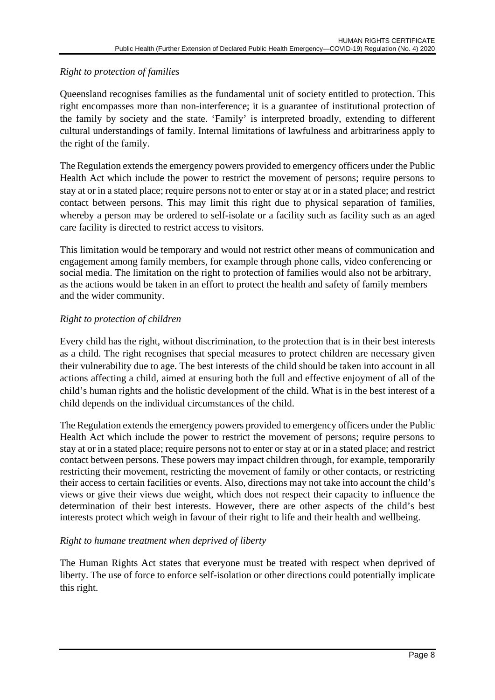# *Right to protection of families*

Queensland recognises families as the fundamental unit of society entitled to protection. This right encompasses more than non-interference; it is a guarantee of institutional protection of the family by society and the state. 'Family' is interpreted broadly, extending to different cultural understandings of family. Internal limitations of lawfulness and arbitrariness apply to the right of the family.

The Regulation extends the emergency powers provided to emergency officers under the Public Health Act which include the power to restrict the movement of persons; require persons to stay at or in a stated place; require persons not to enter or stay at or in a stated place; and restrict contact between persons. This may limit this right due to physical separation of families, whereby a person may be ordered to self-isolate or a facility such as facility such as an aged care facility is directed to restrict access to visitors.

This limitation would be temporary and would not restrict other means of communication and engagement among family members, for example through phone calls, video conferencing or social media. The limitation on the right to protection of families would also not be arbitrary, as the actions would be taken in an effort to protect the health and safety of family members and the wider community.

### *Right to protection of children*

Every child has the right, without discrimination, to the protection that is in their best interests as a child. The right recognises that special measures to protect children are necessary given their vulnerability due to age. The best interests of the child should be taken into account in all actions affecting a child, aimed at ensuring both the full and effective enjoyment of all of the child's human rights and the holistic development of the child. What is in the best interest of a child depends on the individual circumstances of the child.

The Regulation extends the emergency powers provided to emergency officers under the Public Health Act which include the power to restrict the movement of persons; require persons to stay at or in a stated place; require persons not to enter or stay at or in a stated place; and restrict contact between persons. These powers may impact children through, for example, temporarily restricting their movement, restricting the movement of family or other contacts, or restricting their access to certain facilities or events. Also, directions may not take into account the child's views or give their views due weight, which does not respect their capacity to influence the determination of their best interests. However, there are other aspects of the child's best interests protect which weigh in favour of their right to life and their health and wellbeing.

### *Right to humane treatment when deprived of liberty*

The Human Rights Act states that everyone must be treated with respect when deprived of liberty. The use of force to enforce self-isolation or other directions could potentially implicate this right.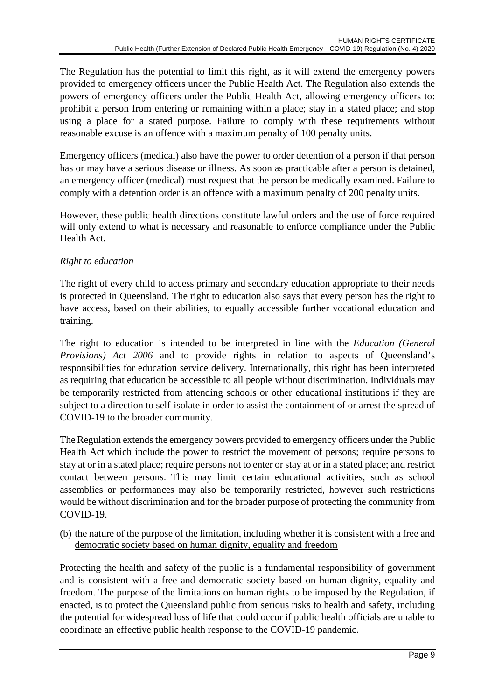The Regulation has the potential to limit this right, as it will extend the emergency powers provided to emergency officers under the Public Health Act. The Regulation also extends the powers of emergency officers under the Public Health Act, allowing emergency officers to: prohibit a person from entering or remaining within a place; stay in a stated place; and stop using a place for a stated purpose. Failure to comply with these requirements without reasonable excuse is an offence with a maximum penalty of 100 penalty units.

Emergency officers (medical) also have the power to order detention of a person if that person has or may have a serious disease or illness. As soon as practicable after a person is detained, an emergency officer (medical) must request that the person be medically examined. Failure to comply with a detention order is an offence with a maximum penalty of 200 penalty units.

However, these public health directions constitute lawful orders and the use of force required will only extend to what is necessary and reasonable to enforce compliance under the Public Health Act.

# *Right to education*

The right of every child to access primary and secondary education appropriate to their needs is protected in Queensland. The right to education also says that every person has the right to have access, based on their abilities, to equally accessible further vocational education and training.

The right to education is intended to be interpreted in line with the *Education (General Provisions) Act 2006* and to provide rights in relation to aspects of Queensland's responsibilities for education service delivery. Internationally, this right has been interpreted as requiring that education be accessible to all people without discrimination. Individuals may be temporarily restricted from attending schools or other educational institutions if they are subject to a direction to self-isolate in order to assist the containment of or arrest the spread of COVID-19 to the broader community.

The Regulation extends the emergency powers provided to emergency officers under the Public Health Act which include the power to restrict the movement of persons; require persons to stay at or in a stated place; require persons not to enter or stay at or in a stated place; and restrict contact between persons. This may limit certain educational activities, such as school assemblies or performances may also be temporarily restricted, however such restrictions would be without discrimination and for the broader purpose of protecting the community from COVID-19.

(b) the nature of the purpose of the limitation, including whether it is consistent with a free and democratic society based on human dignity, equality and freedom

Protecting the health and safety of the public is a fundamental responsibility of government and is consistent with a free and democratic society based on human dignity, equality and freedom. The purpose of the limitations on human rights to be imposed by the Regulation, if enacted, is to protect the Queensland public from serious risks to health and safety, including the potential for widespread loss of life that could occur if public health officials are unable to coordinate an effective public health response to the COVID-19 pandemic.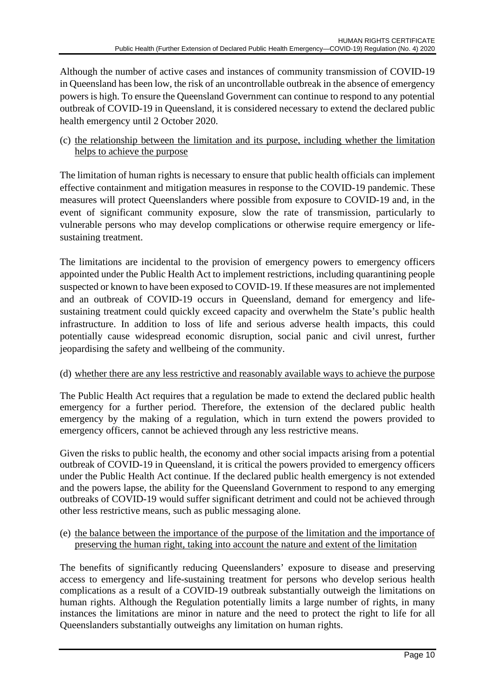Although the number of active cases and instances of community transmission of COVID-19 in Queensland has been low, the risk of an uncontrollable outbreak in the absence of emergency powers is high. To ensure the Queensland Government can continue to respond to any potential outbreak of COVID-19 in Queensland, it is considered necessary to extend the declared public health emergency until 2 October 2020.

(c) the relationship between the limitation and its purpose, including whether the limitation helps to achieve the purpose

The limitation of human rights is necessary to ensure that public health officials can implement effective containment and mitigation measures in response to the COVID-19 pandemic. These measures will protect Queenslanders where possible from exposure to COVID-19 and, in the event of significant community exposure, slow the rate of transmission, particularly to vulnerable persons who may develop complications or otherwise require emergency or lifesustaining treatment.

The limitations are incidental to the provision of emergency powers to emergency officers appointed under the Public Health Act to implement restrictions, including quarantining people suspected or known to have been exposed to COVID-19. If these measures are not implemented and an outbreak of COVID-19 occurs in Queensland, demand for emergency and lifesustaining treatment could quickly exceed capacity and overwhelm the State's public health infrastructure. In addition to loss of life and serious adverse health impacts, this could potentially cause widespread economic disruption, social panic and civil unrest, further jeopardising the safety and wellbeing of the community.

### (d) whether there are any less restrictive and reasonably available ways to achieve the purpose

The Public Health Act requires that a regulation be made to extend the declared public health emergency for a further period. Therefore, the extension of the declared public health emergency by the making of a regulation, which in turn extend the powers provided to emergency officers, cannot be achieved through any less restrictive means.

Given the risks to public health, the economy and other social impacts arising from a potential outbreak of COVID-19 in Queensland, it is critical the powers provided to emergency officers under the Public Health Act continue. If the declared public health emergency is not extended and the powers lapse, the ability for the Queensland Government to respond to any emerging outbreaks of COVID-19 would suffer significant detriment and could not be achieved through other less restrictive means, such as public messaging alone.

### (e) the balance between the importance of the purpose of the limitation and the importance of preserving the human right, taking into account the nature and extent of the limitation

The benefits of significantly reducing Queenslanders' exposure to disease and preserving access to emergency and life-sustaining treatment for persons who develop serious health complications as a result of a COVID-19 outbreak substantially outweigh the limitations on human rights. Although the Regulation potentially limits a large number of rights, in many instances the limitations are minor in nature and the need to protect the right to life for all Queenslanders substantially outweighs any limitation on human rights.